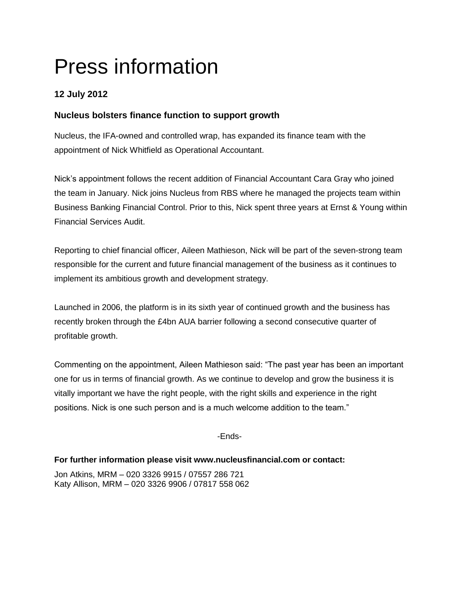# Press information

# **12 July 2012**

## **Nucleus bolsters finance function to support growth**

Nucleus, the IFA-owned and controlled wrap, has expanded its finance team with the appointment of Nick Whitfield as Operational Accountant.

Nick's appointment follows the recent addition of Financial Accountant Cara Gray who joined the team in January. Nick joins Nucleus from RBS where he managed the projects team within Business Banking Financial Control. Prior to this, Nick spent three years at Ernst & Young within Financial Services Audit.

Reporting to chief financial officer, Aileen Mathieson, Nick will be part of the seven-strong team responsible for the current and future financial management of the business as it continues to implement its ambitious growth and development strategy.

Launched in 2006, the platform is in its sixth year of continued growth and the business has recently broken through the £4bn AUA barrier following a second consecutive quarter of profitable growth.

Commenting on the appointment, Aileen Mathieson said: "The past year has been an important one for us in terms of financial growth. As we continue to develop and grow the business it is vitally important we have the right people, with the right skills and experience in the right positions. Nick is one such person and is a much welcome addition to the team."

-Ends-

## **For further information please visit www.nucleusfinancial.com or contact:**

Jon Atkins, MRM – 020 3326 9915 / 07557 286 721 Katy Allison, MRM – 020 3326 9906 / 07817 558 062